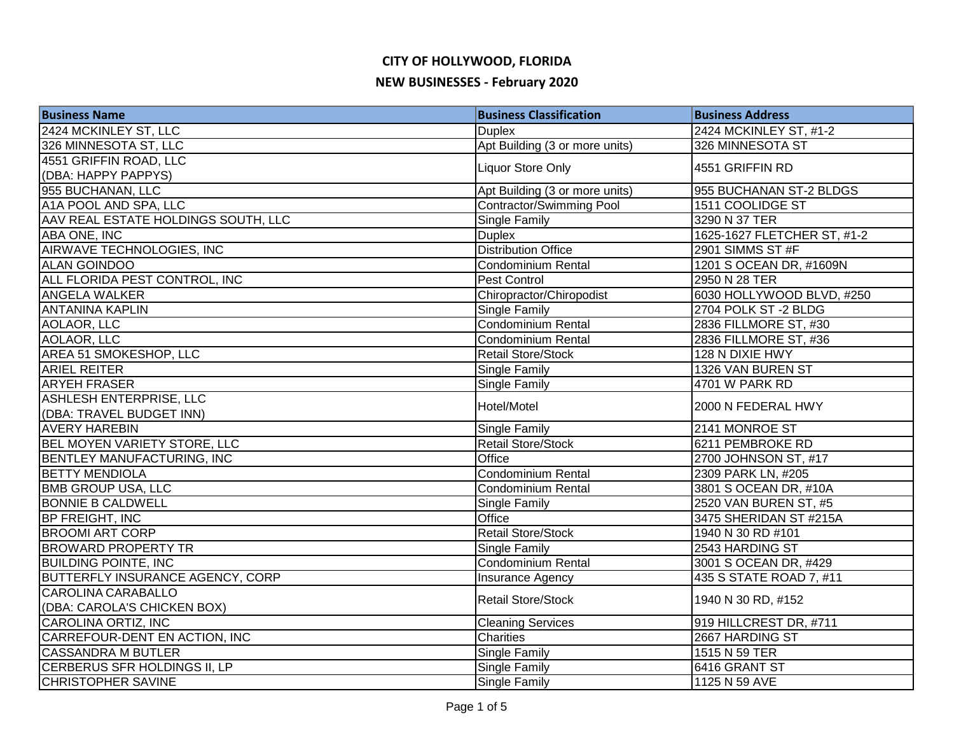| <b>Business Name</b>                | <b>Business Classification</b> | <b>Business Address</b>     |
|-------------------------------------|--------------------------------|-----------------------------|
| 2424 MCKINLEY ST, LLC               | <b>Duplex</b>                  | 2424 MCKINLEY ST, #1-2      |
| 326 MINNESOTA ST, LLC               | Apt Building (3 or more units) | 326 MINNESOTA ST            |
| 4551 GRIFFIN ROAD, LLC              | <b>Liquor Store Only</b>       |                             |
| (DBA: HAPPY PAPPYS)                 |                                | 4551 GRIFFIN RD             |
| 955 BUCHANAN, LLC                   | Apt Building (3 or more units) | 955 BUCHANAN ST-2 BLDGS     |
| A1A POOL AND SPA, LLC               | Contractor/Swimming Pool       | 1511 COOLIDGE ST            |
| AAV REAL ESTATE HOLDINGS SOUTH, LLC | <b>Single Family</b>           | 3290 N 37 TER               |
| <b>ABA ONE, INC</b>                 | <b>Duplex</b>                  | 1625-1627 FLETCHER ST, #1-2 |
| AIRWAVE TECHNOLOGIES, INC           | <b>Distribution Office</b>     | 2901 SIMMS ST #F            |
| <b>ALAN GOINDOO</b>                 | Condominium Rental             | 1201 S OCEAN DR, #1609N     |
| ALL FLORIDA PEST CONTROL, INC       | Pest Control                   | 2950 N 28 TER               |
| <b>ANGELA WALKER</b>                | Chiropractor/Chiropodist       | 6030 HOLLYWOOD BLVD, #250   |
| <b>ANTANINA KAPLIN</b>              | Single Family                  | 2704 POLK ST-2 BLDG         |
| AOLAOR, LLC                         | Condominium Rental             | 2836 FILLMORE ST, #30       |
| AOLAOR, LLC                         | Condominium Rental             | 2836 FILLMORE ST, #36       |
| AREA 51 SMOKESHOP, LLC              | <b>Retail Store/Stock</b>      | 128 N DIXIE HWY             |
| <b>ARIEL REITER</b>                 | <b>Single Family</b>           | 1326 VAN BUREN ST           |
| <b>ARYEH FRASER</b>                 | Single Family                  | 4701 W PARK RD              |
| ASHLESH ENTERPRISE, LLC             | Hotel/Motel                    | 2000 N FEDERAL HWY          |
| (DBA: TRAVEL BUDGET INN)            |                                |                             |
| <b>AVERY HAREBIN</b>                | <b>Single Family</b>           | 2141 MONROE ST              |
| <b>BEL MOYEN VARIETY STORE, LLC</b> | <b>Retail Store/Stock</b>      | 6211 PEMBROKE RD            |
| BENTLEY MANUFACTURING, INC          | Office                         | 2700 JOHNSON ST, #17        |
| <b>BETTY MENDIOLA</b>               | Condominium Rental             | 2309 PARK LN, #205          |
| <b>BMB GROUP USA, LLC</b>           | <b>Condominium Rental</b>      | 3801 S OCEAN DR, #10A       |
| <b>BONNIE B CALDWELL</b>            | Single Family                  | 2520 VAN BUREN ST, #5       |
| <b>BP FREIGHT, INC</b>              | Office                         | 3475 SHERIDAN ST #215A      |
| <b>BROOMI ART CORP</b>              | <b>Retail Store/Stock</b>      | 1940 N 30 RD #101           |
| <b>BROWARD PROPERTY TR</b>          | <b>Single Family</b>           | 2543 HARDING ST             |
| <b>BUILDING POINTE, INC</b>         | Condominium Rental             | 3001 S OCEAN DR, #429       |
| BUTTERFLY INSURANCE AGENCY, CORP    | Insurance Agency               | 435 S STATE ROAD 7, #11     |
| <b>CAROLINA CARABALLO</b>           | <b>Retail Store/Stock</b>      | 1940 N 30 RD, #152          |
| (DBA: CAROLA'S CHICKEN BOX)         |                                |                             |
| CAROLINA ORTIZ, INC                 | <b>Cleaning Services</b>       | 919 HILLCREST DR, #711      |
| CARREFOUR-DENT EN ACTION, INC       | <b>Charities</b>               | 2667 HARDING ST             |
| <b>CASSANDRA M BUTLER</b>           | Single Family                  | 1515 N 59 TER               |
| CERBERUS SFR HOLDINGS II, LP        | <b>Single Family</b>           | 6416 GRANT ST               |
| <b>CHRISTOPHER SAVINE</b>           | <b>Single Family</b>           | 1125 N 59 AVE               |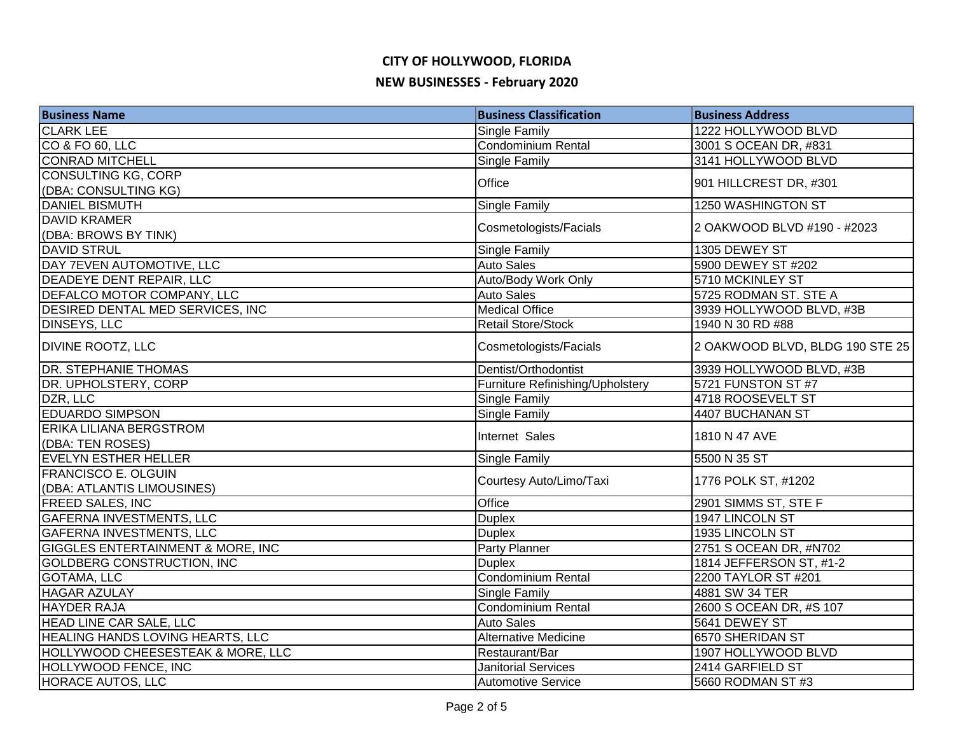| <b>Business Name</b>                         | <b>Business Classification</b>   | <b>Business Address</b>         |
|----------------------------------------------|----------------------------------|---------------------------------|
| <b>CLARK LEE</b>                             | Single Family                    | 1222 HOLLYWOOD BLVD             |
| CO & FO 60, LLC                              | <b>Condominium Rental</b>        | 3001 S OCEAN DR, #831           |
| <b>CONRAD MITCHELL</b>                       | Single Family                    | 3141 HOLLYWOOD BLVD             |
| CONSULTING KG, CORP                          | Office                           |                                 |
| (DBA: CONSULTING KG)                         |                                  | 901 HILLCREST DR, #301          |
| <b>DANIEL BISMUTH</b>                        | <b>Single Family</b>             | 1250 WASHINGTON ST              |
| <b>DAVID KRAMER</b>                          | Cosmetologists/Facials           | 2 OAKWOOD BLVD #190 - #2023     |
| (DBA: BROWS BY TINK)                         |                                  |                                 |
| <b>DAVID STRUL</b>                           | Single Family                    | 1305 DEWEY ST                   |
| DAY 7EVEN AUTOMOTIVE, LLC                    | <b>Auto Sales</b>                | 5900 DEWEY ST #202              |
| DEADEYE DENT REPAIR, LLC                     | Auto/Body Work Only              | 5710 MCKINLEY ST                |
| DEFALCO MOTOR COMPANY, LLC                   | <b>Auto Sales</b>                | 5725 RODMAN ST. STE A           |
| DESIRED DENTAL MED SERVICES, INC             | <b>Medical Office</b>            | 3939 HOLLYWOOD BLVD, #3B        |
| <b>DINSEYS, LLC</b>                          | <b>Retail Store/Stock</b>        | 1940 N 30 RD #88                |
| <b>DIVINE ROOTZ, LLC</b>                     | Cosmetologists/Facials           | 2 OAKWOOD BLVD, BLDG 190 STE 25 |
| <b>DR. STEPHANIE THOMAS</b>                  | Dentist/Orthodontist             | 3939 HOLLYWOOD BLVD, #3B        |
| DR. UPHOLSTERY, CORP                         | Furniture Refinishing/Upholstery | 5721 FUNSTON ST #7              |
| DZR, LLC                                     | Single Family                    | 4718 ROOSEVELT ST               |
| <b>EDUARDO SIMPSON</b>                       | Single Family                    | 4407 BUCHANAN ST                |
| <b>ERIKA LILIANA BERGSTROM</b>               | Internet Sales                   |                                 |
| (DBA: TEN ROSES)                             |                                  | 1810 N 47 AVE                   |
| EVELYN ESTHER HELLER                         | Single Family                    | 5500 N 35 ST                    |
| <b>FRANCISCO E. OLGUIN</b>                   | Courtesy Auto/Limo/Taxi          | 1776 POLK ST, #1202             |
| (DBA: ATLANTIS LIMOUSINES)                   |                                  |                                 |
| <b>FREED SALES, INC</b>                      | Office                           | 2901 SIMMS ST, STE F            |
| <b>GAFERNA INVESTMENTS, LLC</b>              | <b>Duplex</b>                    | 1947 LINCOLN ST                 |
| <b>GAFERNA INVESTMENTS, LLC</b>              | <b>Duplex</b>                    | 1935 LINCOLN ST                 |
| <b>GIGGLES ENTERTAINMENT &amp; MORE, INC</b> | <b>Party Planner</b>             | 2751 S OCEAN DR, #N702          |
| <b>GOLDBERG CONSTRUCTION, INC</b>            | <b>Duplex</b>                    | 1814 JEFFERSON ST, #1-2         |
| <b>GOTAMA, LLC</b>                           | <b>Condominium Rental</b>        | 2200 TAYLOR ST #201             |
| <b>HAGAR AZULAY</b>                          | Single Family                    | 4881 SW 34 TER                  |
| <b>HAYDER RAJA</b>                           | Condominium Rental               | 2600 S OCEAN DR, #S 107         |
| HEAD LINE CAR SALE, LLC                      | <b>Auto Sales</b>                | 5641 DEWEY ST                   |
| HEALING HANDS LOVING HEARTS, LLC             | <b>Alternative Medicine</b>      | 6570 SHERIDAN ST                |
| HOLLYWOOD CHEESESTEAK & MORE, LLC            | Restaurant/Bar                   | 1907 HOLLYWOOD BLVD             |
| HOLLYWOOD FENCE, INC                         | <b>Janitorial Services</b>       | 2414 GARFIELD ST                |
| <b>HORACE AUTOS, LLC</b>                     | <b>Automotive Service</b>        | 5660 RODMAN ST #3               |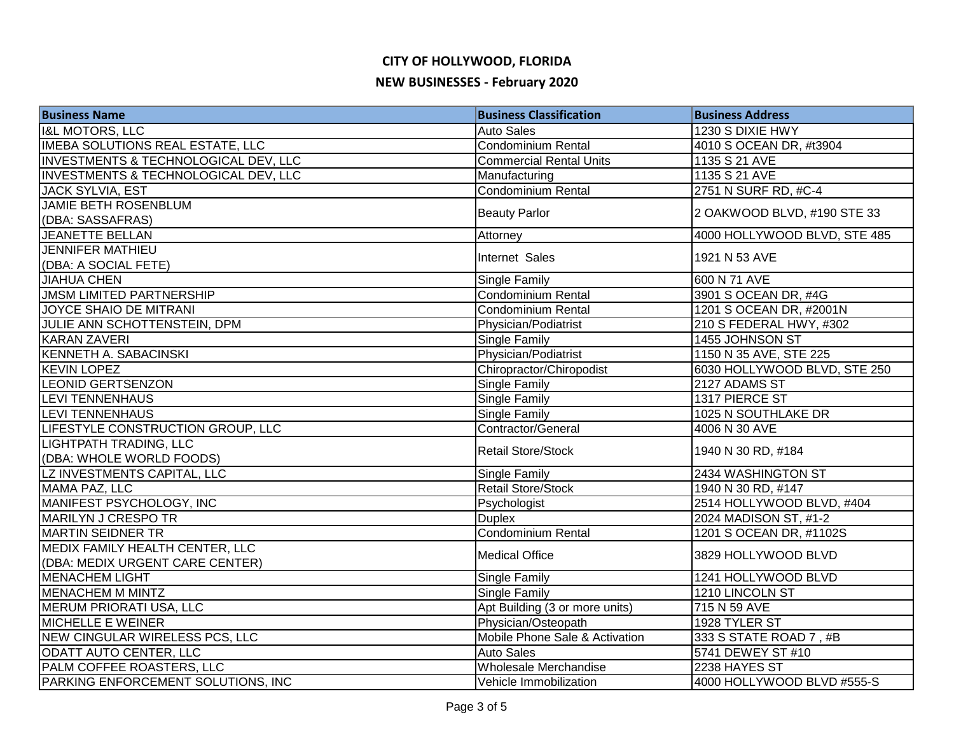| <b>Business Name</b>                    | <b>Business Classification</b> | <b>Business Address</b>      |
|-----------------------------------------|--------------------------------|------------------------------|
| <b>I&amp;L MOTORS, LLC</b>              | <b>Auto Sales</b>              | 1230 S DIXIE HWY             |
| <b>IMEBA SOLUTIONS REAL ESTATE, LLC</b> | Condominium Rental             | 4010 S OCEAN DR, #t3904      |
| INVESTMENTS & TECHNOLOGICAL DEV, LLC    | <b>Commercial Rental Units</b> | 1135 S 21 AVE                |
| INVESTMENTS & TECHNOLOGICAL DEV, LLC    | Manufacturing                  | 1135 S 21 AVE                |
| JACK SYLVIA, EST                        | <b>Condominium Rental</b>      | 2751 N SURF RD, #C-4         |
| <b>JAMIE BETH ROSENBLUM</b>             | <b>Beauty Parlor</b>           | 2 OAKWOOD BLVD, #190 STE 33  |
| (DBA: SASSAFRAS)                        |                                |                              |
| <b>JEANETTE BELLAN</b>                  | Attorney                       | 4000 HOLLYWOOD BLVD, STE 485 |
| <b>JENNIFER MATHIEU</b>                 | Internet Sales                 | 1921 N 53 AVE                |
| (DBA: A SOCIAL FETE)                    |                                |                              |
| <b>JIAHUA CHEN</b>                      | Single Family                  | 600 N 71 AVE                 |
| <b>JMSM LIMITED PARTNERSHIP</b>         | Condominium Rental             | 3901 S OCEAN DR, #4G         |
| JOYCE SHAIO DE MITRANI                  | <b>Condominium Rental</b>      | 1201 S OCEAN DR, #2001N      |
| JULIE ANN SCHOTTENSTEIN, DPM            | Physician/Podiatrist           | 210 S FEDERAL HWY, #302      |
| <b>KARAN ZAVERI</b>                     | Single Family                  | 1455 JOHNSON ST              |
| <b>KENNETH A. SABACINSKI</b>            | Physician/Podiatrist           | 1150 N 35 AVE, STE 225       |
| <b>KEVIN LOPEZ</b>                      | Chiropractor/Chiropodist       | 6030 HOLLYWOOD BLVD, STE 250 |
| <b>LEONID GERTSENZON</b>                | <b>Single Family</b>           | 2127 ADAMS ST                |
| LEVI TENNENHAUS                         | <b>Single Family</b>           | 1317 PIERCE ST               |
| <b>LEVI TENNENHAUS</b>                  | <b>Single Family</b>           | 1025 N SOUTHLAKE DR          |
| LIFESTYLE CONSTRUCTION GROUP, LLC       | Contractor/General             | 4006 N 30 AVE                |
| LIGHTPATH TRADING, LLC                  | <b>Retail Store/Stock</b>      | 1940 N 30 RD, #184           |
| (DBA: WHOLE WORLD FOODS)                |                                |                              |
| LZ INVESTMENTS CAPITAL, LLC             | Single Family                  | 2434 WASHINGTON ST           |
| MAMA PAZ, LLC                           | <b>Retail Store/Stock</b>      | 1940 N 30 RD, #147           |
| MANIFEST PSYCHOLOGY, INC                | Psychologist                   | 2514 HOLLYWOOD BLVD, #404    |
| MARILYN J CRESPO TR                     | <b>Duplex</b>                  | 2024 MADISON ST, #1-2        |
| <b>MARTIN SEIDNER TR</b>                | <b>Condominium Rental</b>      | 1201 S OCEAN DR, #1102S      |
| MEDIX FAMILY HEALTH CENTER, LLC         |                                |                              |
| (DBA: MEDIX URGENT CARE CENTER)         | <b>Medical Office</b>          | 3829 HOLLYWOOD BLVD          |
| <b>MENACHEM LIGHT</b>                   | <b>Single Family</b>           | 1241 HOLLYWOOD BLVD          |
| <b>MENACHEM M MINTZ</b>                 | <b>Single Family</b>           | 1210 LINCOLN ST              |
| MERUM PRIORATI USA, LLC                 | Apt Building (3 or more units) | 715 N 59 AVE                 |
| <b>MICHELLE E WEINER</b>                | Physician/Osteopath            | 1928 TYLER ST                |
| NEW CINGULAR WIRELESS PCS, LLC          | Mobile Phone Sale & Activation | 333 S STATE ROAD 7, #B       |
| ODATT AUTO CENTER, LLC                  | <b>Auto Sales</b>              | 5741 DEWEY ST #10            |
| PALM COFFEE ROASTERS, LLC               | Wholesale Merchandise          | 2238 HAYES ST                |
| PARKING ENFORCEMENT SOLUTIONS, INC      | Vehicle Immobilization         | 4000 HOLLYWOOD BLVD #555-S   |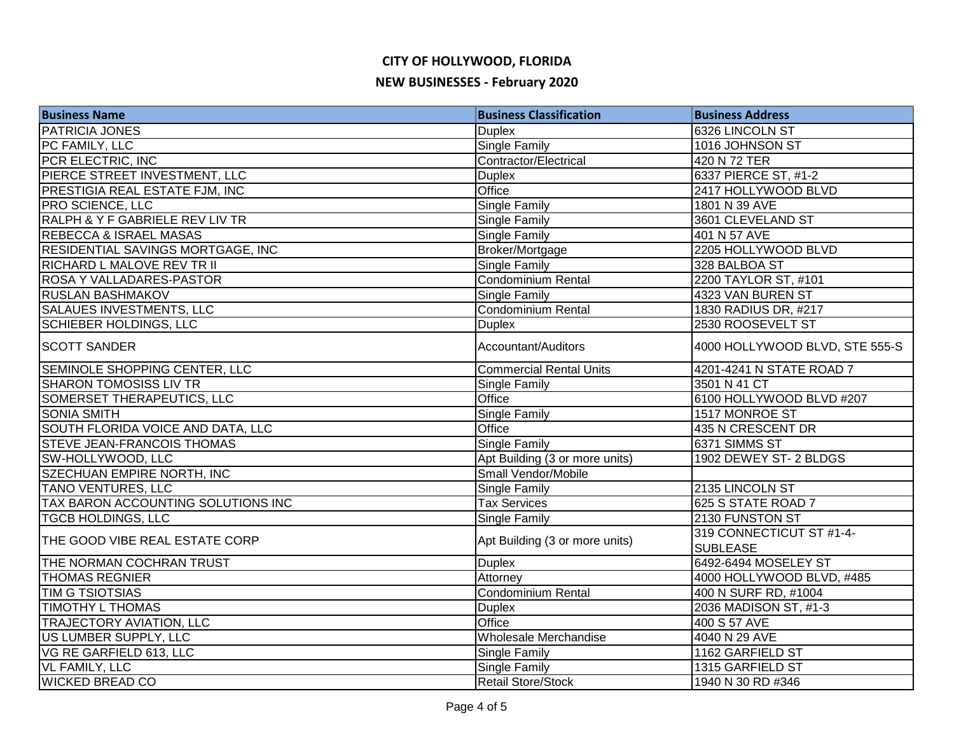| <b>Business Name</b>               | <b>Business Classification</b> | <b>Business Address</b>                     |
|------------------------------------|--------------------------------|---------------------------------------------|
| PATRICIA JONES                     | <b>Duplex</b>                  | 6326 LINCOLN ST                             |
| PC FAMILY, LLC                     | <b>Single Family</b>           | 1016 JOHNSON ST                             |
| PCR ELECTRIC, INC                  | Contractor/Electrical          | 420 N 72 TER                                |
| PIERCE STREET INVESTMENT, LLC      | <b>Duplex</b>                  | 6337 PIERCE ST, #1-2                        |
| PRESTIGIA REAL ESTATE FJM, INC     | Office                         | 2417 HOLLYWOOD BLVD                         |
| <b>PRO SCIENCE, LLC</b>            | <b>Single Family</b>           | 1801 N 39 AVE                               |
| RALPH & Y F GABRIELE REV LIV TR    | Single Family                  | 3601 CLEVELAND ST                           |
| <b>REBECCA &amp; ISRAEL MASAS</b>  | Single Family                  | 401 N 57 AVE                                |
| RESIDENTIAL SAVINGS MORTGAGE, INC  | Broker/Mortgage                | 2205 HOLLYWOOD BLVD                         |
| RICHARD L MALOVE REV TR II         | Single Family                  | 328 BALBOA ST                               |
| ROSA Y VALLADARES-PASTOR           | <b>Condominium Rental</b>      | 2200 TAYLOR ST, #101                        |
| <b>RUSLAN BASHMAKOV</b>            | Single Family                  | 4323 VAN BUREN ST                           |
| <b>SALAUES INVESTMENTS, LLC</b>    | Condominium Rental             | 1830 RADIUS DR, #217                        |
| <b>SCHIEBER HOLDINGS, LLC</b>      | <b>Duplex</b>                  | 2530 ROOSEVELT ST                           |
| <b>SCOTT SANDER</b>                | Accountant/Auditors            | 4000 HOLLYWOOD BLVD, STE 555-S              |
| SEMINOLE SHOPPING CENTER, LLC      | <b>Commercial Rental Units</b> | 4201-4241 N STATE ROAD 7                    |
| <b>SHARON TOMOSISS LIV TR</b>      | Single Family                  | 3501 N 41 CT                                |
| SOMERSET THERAPEUTICS, LLC         | Office                         | 6100 HOLLYWOOD BLVD #207                    |
| <b>SONIA SMITH</b>                 | Single Family                  | 1517 MONROE ST                              |
| SOUTH FLORIDA VOICE AND DATA, LLC  | Office                         | 435 N CRESCENT DR                           |
| <b>STEVE JEAN-FRANCOIS THOMAS</b>  | <b>Single Family</b>           | 6371 SIMMS ST                               |
| SW-HOLLYWOOD, LLC                  | Apt Building (3 or more units) | 1902 DEWEY ST- 2 BLDGS                      |
| SZECHUAN EMPIRE NORTH, INC         | Small Vendor/Mobile            |                                             |
| TANO VENTURES, LLC                 | Single Family                  | 2135 LINCOLN ST                             |
| TAX BARON ACCOUNTING SOLUTIONS INC | <b>Tax Services</b>            | 625 S STATE ROAD 7                          |
| <b>TGCB HOLDINGS, LLC</b>          | Single Family                  | 2130 FUNSTON ST                             |
| THE GOOD VIBE REAL ESTATE CORP     | Apt Building (3 or more units) | 319 CONNECTICUT ST #1-4-<br><b>SUBLEASE</b> |
| THE NORMAN COCHRAN TRUST           | <b>Duplex</b>                  | 6492-6494 MOSELEY ST                        |
| <b>THOMAS REGNIER</b>              | Attorney                       | 4000 HOLLYWOOD BLVD, #485                   |
| <b>TIM G TSIOTSIAS</b>             | <b>Condominium Rental</b>      | 400 N SURF RD, #1004                        |
| <b>TIMOTHY L THOMAS</b>            | <b>Duplex</b>                  | 2036 MADISON ST, #1-3                       |
| TRAJECTORY AVIATION, LLC           | Office                         | 400 S 57 AVE                                |
| US LUMBER SUPPLY, LLC              | Wholesale Merchandise          | 4040 N 29 AVE                               |
| VG RE GARFIELD 613, LLC            | Single Family                  | 1162 GARFIELD ST                            |
| <b>VL FAMILY, LLC</b>              | Single Family                  | 1315 GARFIELD ST                            |
| <b>WICKED BREAD CO</b>             | <b>Retail Store/Stock</b>      | 1940 N 30 RD #346                           |